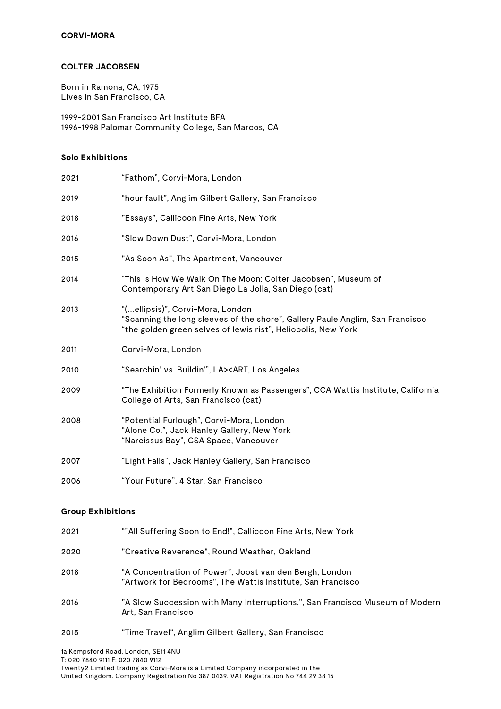### **CORVI-MORA**

#### **COLTER JACOBSEN**

Born in Ramona, CA, 1975 Lives in San Francisco, CA

1999-2001 San Francisco Art Institute BFA 1996-1998 Palomar Community College, San Marcos, CA

## **Solo Exhibitions**

| 2021 | "Fathom", Corvi-Mora, London                                                                                                                                                       |
|------|------------------------------------------------------------------------------------------------------------------------------------------------------------------------------------|
| 2019 | "hour fault", Anglim Gilbert Gallery, San Francisco                                                                                                                                |
| 2018 | "Essays", Callicoon Fine Arts, New York                                                                                                                                            |
| 2016 | "Slow Down Dust", Corvi-Mora, London                                                                                                                                               |
| 2015 | "As Soon As", The Apartment, Vancouver                                                                                                                                             |
| 2014 | "This Is How We Walk On The Moon: Colter Jacobsen", Museum of<br>Contemporary Art San Diego La Jolla, San Diego (cat)                                                              |
| 2013 | "(ellipsis)", Corvi-Mora, London<br>"Scanning the long sleeves of the shore", Gallery Paule Anglim, San Francisco<br>"the golden green selves of lewis rist", Heliopolis, New York |
| 2011 | Corvi-Mora, London                                                                                                                                                                 |
| 2010 | "Searchin' vs. Buildin'", LA> <art, angeles<="" los="" td=""></art,>                                                                                                               |
| 2009 | "The Exhibition Formerly Known as Passengers", CCA Wattis Institute, California<br>College of Arts, San Francisco (cat)                                                            |
| 2008 | "Potential Furlough", Corvi-Mora, London<br>"Alone Co.", Jack Hanley Gallery, New York<br>"Narcissus Bay", CSA Space, Vancouver                                                    |
| 2007 | "Light Falls", Jack Hanley Gallery, San Francisco                                                                                                                                  |
| 2006 | "Your Future", 4 Star, San Francisco                                                                                                                                               |

### **Group Exhibitions**

| 2021 | ""All Suffering Soon to End!", Callicoon Fine Arts, New York                                                           |
|------|------------------------------------------------------------------------------------------------------------------------|
| 2020 | "Creative Reverence", Round Weather, Oakland                                                                           |
| 2018 | "A Concentration of Power", Joost van den Bergh, London<br>"Artwork for Bedrooms", The Wattis Institute, San Francisco |
| 2016 | "A Slow Succession with Many Interruptions.", San Francisco Museum of Modern<br>Art, San Francisco                     |
| 2015 | "Time Travel", Anglim Gilbert Gallery, San Francisco                                                                   |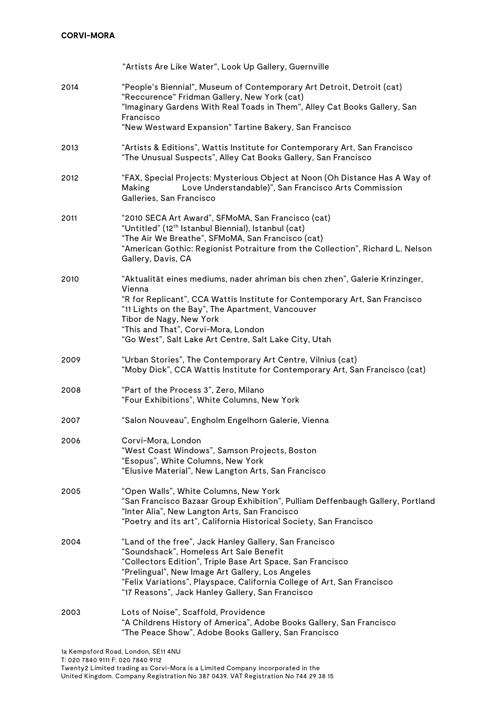|      | "Artists Are Like Water", Look Up Gallery, Guernville                                                                                                                                                                                                                                                                                                |
|------|------------------------------------------------------------------------------------------------------------------------------------------------------------------------------------------------------------------------------------------------------------------------------------------------------------------------------------------------------|
| 2014 | "People's Biennial", Museum of Contemporary Art Detroit, Detroit (cat)<br>"Reccurence" Fridman Gallery, New York (cat)<br>"Imaginary Gardens With Real Toads in Them", Alley Cat Books Gallery, San<br>Francisco                                                                                                                                     |
|      | "New Westward Expansion" Tartine Bakery, San Francisco                                                                                                                                                                                                                                                                                               |
| 2013 | "Artists & Editions", Wattis Institute for Contemporary Art, San Francisco<br>"The Unusual Suspects", Alley Cat Books Gallery, San Francisco                                                                                                                                                                                                         |
| 2012 | "FAX, Special Projects: Mysterious Object at Noon (Oh Distance Has A Way of<br>Love Understandable)", San Francisco Arts Commission<br>Making<br>Galleries, San Francisco                                                                                                                                                                            |
| 2011 | "2010 SECA Art Award", SFMoMA, San Francisco (cat)<br>"Untitled" (12 <sup>th</sup> Istanbul Biennial), Istanbul (cat)<br>"The Air We Breathe", SFMoMA, San Francisco (cat)<br>"American Gothic: Regionist Potraiture from the Collection", Richard L. Nelson<br>Gallery, Davis, CA                                                                   |
| 2010 | "Aktualität eines mediums, nader ahriman bis chen zhen", Galerie Krinzinger,<br>Vienna<br>"R for Replicant", CCA Wattis Institute for Contemporary Art, San Francisco<br>"11 Lights on the Bay", The Apartment, Vancouver<br>Tibor de Nagy, New York<br>"This and That", Corvi-Mora, London<br>"Go West", Salt Lake Art Centre, Salt Lake City, Utah |
| 2009 | "Urban Stories", The Contemporary Art Centre, Vilnius (cat)<br>"Moby Dick", CCA Wattis Institute for Contemporary Art, San Francisco (cat)                                                                                                                                                                                                           |
| 2008 | "Part of the Process 3", Zero, Milano<br>"Four Exhibitions", White Columns, New York                                                                                                                                                                                                                                                                 |
| 2007 | "Salon Nouveau", Engholm Engelhorn Galerie, Vienna                                                                                                                                                                                                                                                                                                   |
| 2006 | Corvi-Mora, London<br>"West Coast Windows", Samson Projects, Boston<br>"Esopus", White Columns, New York<br>"Elusive Material", New Langton Arts, San Francisco                                                                                                                                                                                      |
| 2005 | "Open Walls", White Columns, New York<br>"San Francisco Bazaar Group Exhibition", Pulliam Deffenbaugh Gallery, Portland<br>"Inter Alia", New Langton Arts, San Francisco<br>"Poetry and its art", California Historical Society, San Francisco                                                                                                       |
| 2004 | "Land of the free", Jack Hanley Gallery, San Francisco<br>"Soundshack", Homeless Art Sale Benefit<br>"Collectors Edition", Triple Base Art Space, San Francisco<br>"Prelingual", New Image Art Gallery, Los Angeles<br>"Felix Variations", Playspace, California College of Art, San Francisco<br>"17 Reasons", Jack Hanley Gallery, San Francisco   |
| 2003 | Lots of Noise", Scaffold, Providence<br>"A Childrens History of America", Adobe Books Gallery, San Francisco<br>"The Peace Show", Adobe Books Gallery, San Francisco                                                                                                                                                                                 |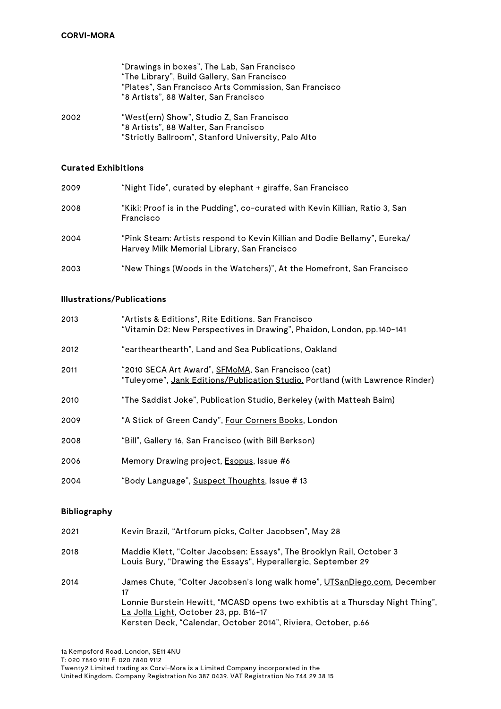|      | "Drawings in boxes", The Lab, San Francisco            |
|------|--------------------------------------------------------|
|      | "The Library", Build Gallery, San Francisco            |
|      | "Plates", San Francisco Arts Commission, San Francisco |
|      | "8 Artists", 88 Walter, San Francisco                  |
| 2002 | "West(ern) Show", Studio Z, San Francisco              |
|      | "8 Artists", 88 Walter, San Francisco                  |
|      | "Strictly Ballroom", Stanford University, Palo Alto    |

### **Curated Exhibitions**

| 2009 | "Night Tide", curated by elephant + giraffe, San Francisco                                                               |
|------|--------------------------------------------------------------------------------------------------------------------------|
| 2008 | "Kiki: Proof is in the Pudding", co-curated with Kevin Killian, Ratio 3, San<br>Francisco                                |
| 2004 | "Pink Steam: Artists respond to Kevin Killian and Dodie Bellamy", Eureka/<br>Harvey Milk Memorial Library, San Francisco |
| 2003 | "New Things (Woods in the Watchers)", At the Homefront, San Francisco                                                    |

### **Illustrations/Publications**

| 2013 | "Artists & Editions", Rite Editions. San Francisco<br>"Vitamin D2: New Perspectives in Drawing", Phaidon, London, pp.140-141                |
|------|---------------------------------------------------------------------------------------------------------------------------------------------|
| 2012 | "earthearthearth", Land and Sea Publications, Oakland                                                                                       |
| 2011 | "2010 SECA Art Award", <u>SFMoMA</u> , San Francisco (cat)<br>"Tuleyome", Jank Editions/Publication Studio, Portland (with Lawrence Rinder) |
| 2010 | "The Saddist Joke", Publication Studio, Berkeley (with Matteah Baim)                                                                        |
| 2009 | "A Stick of Green Candy", Four Corners Books, London                                                                                        |
| 2008 | "Bill", Gallery 16, San Francisco (with Bill Berkson)                                                                                       |
| 2006 | Memory Drawing project, <b>Esopus</b> , Issue #6                                                                                            |
| 2004 | "Body Language", Suspect Thoughts, Issue #13                                                                                                |

## **Bibliography**

| 2021 | Kevin Brazil, "Artforum picks, Colter Jacobsen", May 28                                                                                                                                                                                                                      |
|------|------------------------------------------------------------------------------------------------------------------------------------------------------------------------------------------------------------------------------------------------------------------------------|
| 2018 | Maddie Klett, "Colter Jacobsen: Essays", The Brooklyn Rail, October 3<br>Louis Bury, "Drawing the Essays", Hyperallergic, September 29                                                                                                                                       |
| 2014 | James Chute, "Colter Jacobsen's long walk home", UTSanDiego.com, December<br>17<br>Lonnie Burstein Hewitt, "MCASD opens two exhibtis at a Thursday Night Thing",<br>La Jolla Light, October 23, pp. B16-17<br>Kersten Deck, "Calendar, October 2014", Riviera, October, p.66 |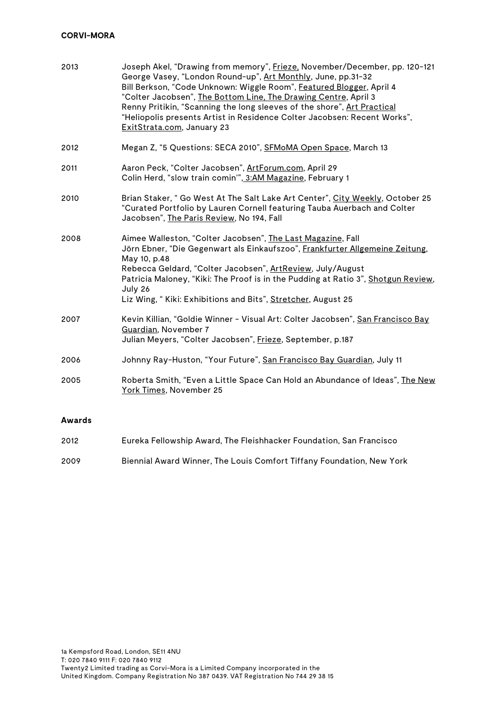## **CORVI-MORA**

| 2013          | Joseph Akel, "Drawing from memory", Frieze, November/December, pp. 120-121<br>George Vasey, "London Round-up", Art Monthly, June, pp.31-32<br>Bill Berkson, "Code Unknown: Wiggle Room", Featured Blogger, April 4<br>"Colter Jacobsen", The Bottom Line, The Drawing Centre, April 3<br>Renny Pritikin, "Scanning the long sleeves of the shore", Art Practical<br>"Heliopolis presents Artist in Residence Colter Jacobsen: Recent Works",<br>ExitStrata.com, January 23 |
|---------------|----------------------------------------------------------------------------------------------------------------------------------------------------------------------------------------------------------------------------------------------------------------------------------------------------------------------------------------------------------------------------------------------------------------------------------------------------------------------------|
| 2012          | Megan Z, "5 Questions: SECA 2010", SFMoMA Open Space, March 13                                                                                                                                                                                                                                                                                                                                                                                                             |
| 2011          | Aaron Peck, "Colter Jacobsen", ArtForum.com, April 29<br>Colin Herd, "slow train comin"", 3:AM Magazine, February 1                                                                                                                                                                                                                                                                                                                                                        |
| 2010          | Brian Staker, " Go West At The Salt Lake Art Center", City Weekly, October 25<br>"Curated Portfolio by Lauren Cornell featuring Tauba Auerbach and Colter<br>Jacobsen", The Paris Review, No 194, Fall                                                                                                                                                                                                                                                                     |
| 2008          | Aimee Walleston, "Colter Jacobsen", The Last Magazine, Fall<br>Jörn Ebner, "Die Gegenwart als Einkaufszoo", Frankfurter Allgemeine Zeitung,<br>May 10, p.48<br>Rebecca Geldard, "Colter Jacobsen", ArtReview, July/August<br>Patricia Maloney, "Kiki: The Proof is in the Pudding at Ratio 3", Shotgun Review,<br>July 26<br>Liz Wing, "Kiki: Exhibitions and Bits", Stretcher, August 25                                                                                  |
| 2007          | Kevin Killian, "Goldie Winner - Visual Art: Colter Jacobsen", San Francisco Bay<br>Guardian, November 7<br>Julian Meyers, "Colter Jacobsen", Frieze, September, p.187                                                                                                                                                                                                                                                                                                      |
| 2006          | Johnny Ray-Huston, "Your Future", San Francisco Bay Guardian, July 11                                                                                                                                                                                                                                                                                                                                                                                                      |
| 2005          | Roberta Smith, "Even a Little Space Can Hold an Abundance of Ideas", The New<br>York Times, November 25                                                                                                                                                                                                                                                                                                                                                                    |
| <b>Awards</b> |                                                                                                                                                                                                                                                                                                                                                                                                                                                                            |
| 2012          | Eureka Fellowship Award, The Fleishhacker Foundation, San Francisco                                                                                                                                                                                                                                                                                                                                                                                                        |

2009 Biennial Award Winner, The Louis Comfort Tiffany Foundation, New York